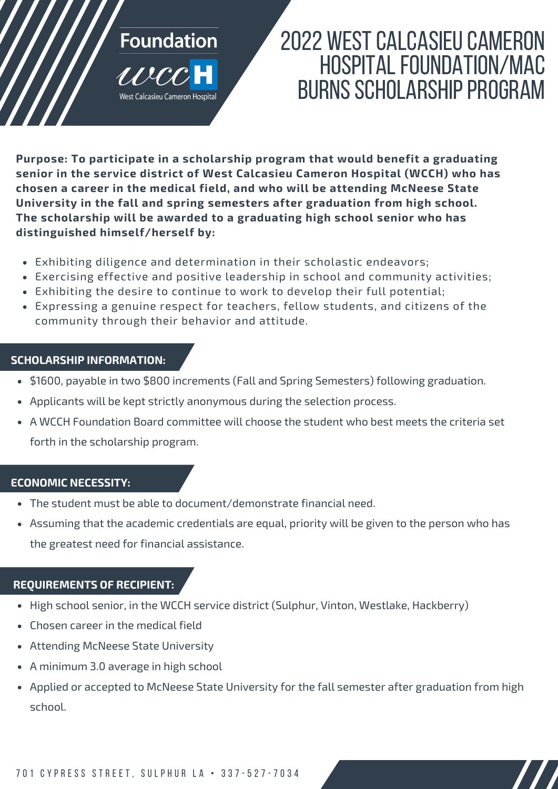# **Foundation**



# 2022 WEST CALCASIEU CAMERON HOSPITAL FOUNDATION/MAC BURNS SCHOLARSHIP PROGRAM

**Purpose: To participate in a scholarship program that would benefit a graduating senior in the service district of West Calcasieu Cameron Hospital (WCCH) who has chosen a career in the medical field, and who will be attending McNeese State University in the fall and spring semesters after graduation from high school. The scholarship will be awarded to a graduating high school senior who has distinguished himself/herself by:**

- Exhibiting diligence and determination in their scholastic endeavors;
- Exercising effective and positive leadership in school and community activities;
- Exhibiting the desire to continue to work to develop their full potential;
- Expressing a genuine respect for teachers, fellow students, and citizens of the community through their behavior and attitude.

#### **SCHOLARSHIP INFORMATION:**

- \$1600, payable in two \$800 increments (Fall and Spring Semesters) following graduation.
- Applicants will be kept strictly anonymous during the selection process.
- A WCCH Foundation Board committee will choose the student who best meets the criteria set forth in the scholarship program.

#### **ECONOMIC NECESSITY:**

- The student must be able to document/demonstrate financial need.
- Assuming that the academic credentials are equal, priority will be given to the person who has the greatest need for financial assistance.

#### **REQUIREMENTS OF RECIPIENT:**

- High school senior, in the WCCH service district (Sulphur, Vinton, Westlake, Hackberry)
- Chosen career in the medical field
- Attending McNeese State University
- A minimum 3.0 average in high school
- Applied or accepted to McNeese State University for the fall semester after graduation from high school.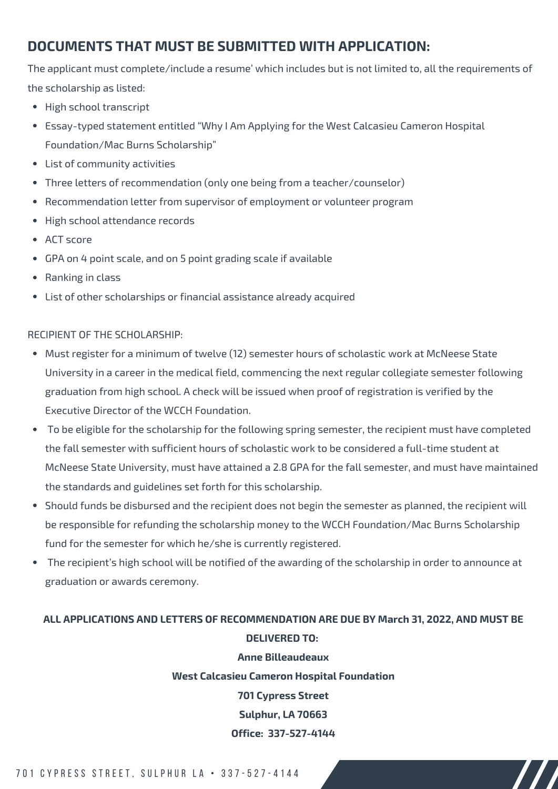### **DOCUMENTS THAT MUST BE SUBMITTED WITH APPLICATION:**

The applicant must complete/include a resume' which includes but is not limited to, all the requirements of the scholarship as listed:

- High school transcript
- Essay-typed statement entitled "Why I Am Applying for the West Calcasieu Cameron Hospital Foundation/Mac Burns Scholarship"
- List of community activities
- Three letters of recommendation (only one being from a teacher/counselor)
- Recommendation letter from supervisor of employment or volunteer program
- High school attendance records
- ACT score
- GPA on 4 point scale, and on 5 point grading scale if available
- Ranking in class
- List of other scholarships or financial assistance already acquired

#### RECIPIENT OF THE SCHOLARSHIP:

- Must register for a minimum of twelve (12) semester hours of scholastic work at McNeese State University in a career in the medical field, commencing the next regular collegiate semester following graduation from high school. A check will be issued when proof of registration is verified by the Executive Director of the WCCH Foundation.
- To be eligible for the scholarship for the following spring semester, the recipient must have completed the fall semester with sufficient hours of scholastic work to be considered a full-time student at McNeese State University, must have attained a 2.8 GPA for the fall semester, and must have maintained the standards and guidelines set forth for this scholarship.
- Should funds be disbursed and the recipient does not begin the semester as planned, the recipient will be responsible for refunding the scholarship money to the WCCH Foundation/Mac Burns Scholarship fund for the semester for which he/she is currently registered.
- The recipient's high school will be notified of the awarding of the scholarship in order to announce at graduation or awards ceremony.

### **ALL APPLICATIONS AND LETTERS OF RECOMMENDATION ARE DUE BY March 31, 2022, AND MUST BE DELIVERED TO:**

**Anne Billeaudeaux West Calcasieu Cameron Hospital Foundation 701 Cypress Street Sulphur, LA 70663 Office: 337-527-4144**